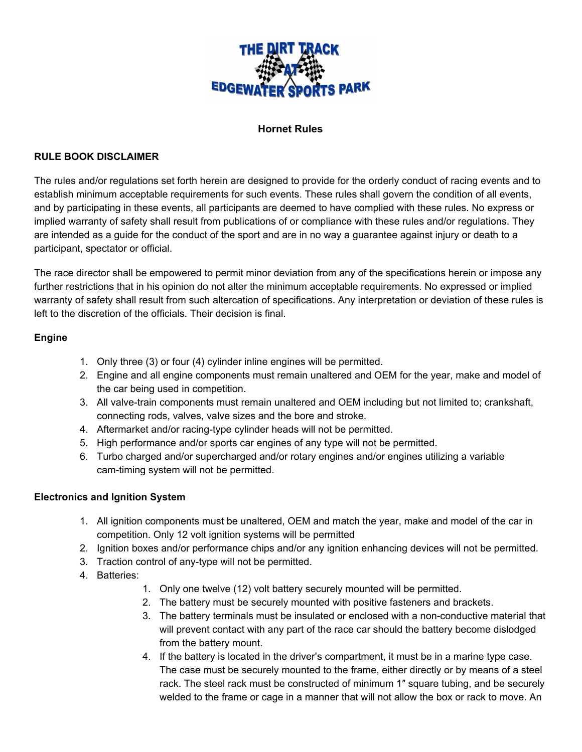

### **Hornet Rules**

#### **RULE BOOK DISCLAIMER**

The rules and/or regulations set forth herein are designed to provide for the orderly conduct of racing events and to establish minimum acceptable requirements for such events. These rules shall govern the condition of all events, and by participating in these events, all participants are deemed to have complied with these rules. No express or implied warranty of safety shall result from publications of or compliance with these rules and/or regulations. They are intended as a guide for the conduct of the sport and are in no way a guarantee against injury or death to a participant, spectator or official.

The race director shall be empowered to permit minor deviation from any of the specifications herein or impose any further restrictions that in his opinion do not alter the minimum acceptable requirements. No expressed or implied warranty of safety shall result from such altercation of specifications. Any interpretation or deviation of these rules is left to the discretion of the officials. Their decision is final.

### **Engine**

- 1. Only three (3) or four (4) cylinder inline engines will be permitted.
- 2. Engine and all engine components must remain unaltered and OEM for the year, make and model of the car being used in competition.
- 3. All valve-train components must remain unaltered and OEM including but not limited to; crankshaft, connecting rods, valves, valve sizes and the bore and stroke.
- 4. Aftermarket and/or racing-type cylinder heads will not be permitted.
- 5. High performance and/or sports car engines of any type will not be permitted.
- 6. Turbo charged and/or supercharged and/or rotary engines and/or engines utilizing a variable cam-timing system will not be permitted.

### **Electronics and Ignition System**

- 1. All ignition components must be unaltered, OEM and match the year, make and model of the car in competition. Only 12 volt ignition systems will be permitted
- 2. Ignition boxes and/or performance chips and/or any ignition enhancing devices will not be permitted.
- 3. Traction control of any-type will not be permitted.
- 4. Batteries:
	- 1. Only one twelve (12) volt battery securely mounted will be permitted.
	- 2. The battery must be securely mounted with positive fasteners and brackets.
	- 3. The battery terminals must be insulated or enclosed with a non-conductive material that will prevent contact with any part of the race car should the battery become dislodged from the battery mount.
	- 4. If the battery is located in the driver's compartment, it must be in a marine type case. The case must be securely mounted to the frame, either directly or by means of a steel rack. The steel rack must be constructed of minimum 1" square tubing, and be securely welded to the frame or cage in a manner that will not allow the box or rack to move. An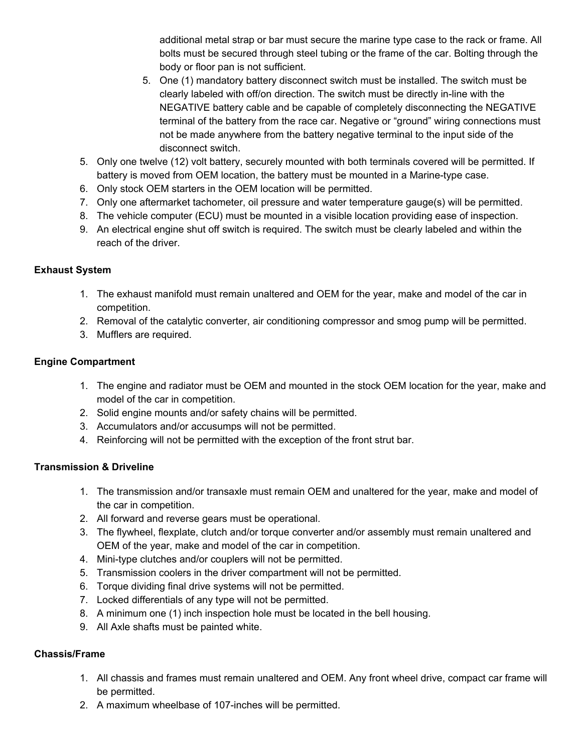additional metal strap or bar must secure the marine type case to the rack or frame. All bolts must be secured through steel tubing or the frame of the car. Bolting through the body or floor pan is not sufficient.

- 5. One (1) mandatory battery disconnect switch must be installed. The switch must be clearly labeled with off/on direction. The switch must be directly in-line with the NEGATIVE battery cable and be capable of completely disconnecting the NEGATIVE terminal of the battery from the race car. Negative or "ground" wiring connections must not be made anywhere from the battery negative terminal to the input side of the disconnect switch.
- 5. Only one twelve (12) volt battery, securely mounted with both terminals covered will be permitted. If battery is moved from OEM location, the battery must be mounted in a Marine-type case.
- 6. Only stock OEM starters in the OEM location will be permitted.
- 7. Only one aftermarket tachometer, oil pressure and water temperature gauge(s) will be permitted.
- 8. The vehicle computer (ECU) must be mounted in a visible location providing ease of inspection.
- 9. An electrical engine shut off switch is required. The switch must be clearly labeled and within the reach of the driver.

## **Exhaust System**

- 1. The exhaust manifold must remain unaltered and OEM for the year, make and model of the car in competition.
- 2. Removal of the catalytic converter, air conditioning compressor and smog pump will be permitted.
- 3. Mufflers are required.

## **Engine Compartment**

- 1. The engine and radiator must be OEM and mounted in the stock OEM location for the year, make and model of the car in competition.
- 2. Solid engine mounts and/or safety chains will be permitted.
- 3. Accumulators and/or accusumps will not be permitted.
- 4. Reinforcing will not be permitted with the exception of the front strut bar.

# **Transmission & Driveline**

- 1. The transmission and/or transaxle must remain OEM and unaltered for the year, make and model of the car in competition.
- 2. All forward and reverse gears must be operational.
- 3. The flywheel, flexplate, clutch and/or torque converter and/or assembly must remain unaltered and OEM of the year, make and model of the car in competition.
- 4. Mini-type clutches and/or couplers will not be permitted.
- 5. Transmission coolers in the driver compartment will not be permitted.
- 6. Torque dividing final drive systems will not be permitted.
- 7. Locked differentials of any type will not be permitted.
- 8. A minimum one (1) inch inspection hole must be located in the bell housing.
- 9. All Axle shafts must be painted white.

# **Chassis/Frame**

- 1. All chassis and frames must remain unaltered and OEM. Any front wheel drive, compact car frame will be permitted.
- 2. A maximum wheelbase of 107-inches will be permitted.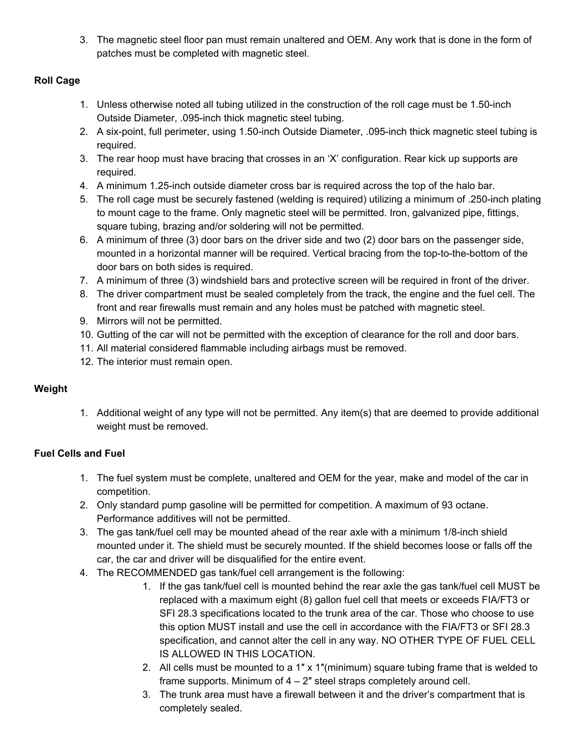3. The magnetic steel floor pan must remain unaltered and OEM. Any work that is done in the form of patches must be completed with magnetic steel.

## **Roll Cage**

- 1. Unless otherwise noted all tubing utilized in the construction of the roll cage must be 1.50-inch Outside Diameter, .095-inch thick magnetic steel tubing.
- 2. A six-point, full perimeter, using 1.50-inch Outside Diameter, .095-inch thick magnetic steel tubing is required.
- 3. The rear hoop must have bracing that crosses in an 'X' configuration. Rear kick up supports are required.
- 4. A minimum 1.25-inch outside diameter cross bar is required across the top of the halo bar.
- 5. The roll cage must be securely fastened (welding is required) utilizing a minimum of .250-inch plating to mount cage to the frame. Only magnetic steel will be permitted. Iron, galvanized pipe, fittings, square tubing, brazing and/or soldering will not be permitted.
- 6. A minimum of three (3) door bars on the driver side and two (2) door bars on the passenger side, mounted in a horizontal manner will be required. Vertical bracing from the top-to-the-bottom of the door bars on both sides is required.
- 7. A minimum of three (3) windshield bars and protective screen will be required in front of the driver.
- 8. The driver compartment must be sealed completely from the track, the engine and the fuel cell. The front and rear firewalls must remain and any holes must be patched with magnetic steel.
- 9. Mirrors will not be permitted.
- 10. Gutting of the car will not be permitted with the exception of clearance for the roll and door bars.
- 11. All material considered flammable including airbags must be removed.
- 12. The interior must remain open.

# **Weight**

1. Additional weight of any type will not be permitted. Any item(s) that are deemed to provide additional weight must be removed.

# **Fuel Cells and Fuel**

- 1. The fuel system must be complete, unaltered and OEM for the year, make and model of the car in competition.
- 2. Only standard pump gasoline will be permitted for competition. A maximum of 93 octane. Performance additives will not be permitted.
- 3. The gas tank/fuel cell may be mounted ahead of the rear axle with a minimum 1/8-inch shield mounted under it. The shield must be securely mounted. If the shield becomes loose or falls off the car, the car and driver will be disqualified for the entire event.
- 4. The RECOMMENDED gas tank/fuel cell arrangement is the following:
	- 1. If the gas tank/fuel cell is mounted behind the rear axle the gas tank/fuel cell MUST be replaced with a maximum eight (8) gallon fuel cell that meets or exceeds FIA/FT3 or SFI 28.3 specifications located to the trunk area of the car. Those who choose to use this option MUST install and use the cell in accordance with the FIA/FT3 or SFI 28.3 specification, and cannot alter the cell in any way. NO OTHER TYPE OF FUEL CELL IS ALLOWED IN THIS LOCATION.
	- 2. All cells must be mounted to a 1"  $\times$  1"(minimum) square tubing frame that is welded to frame supports. Minimum of 4 – 2″ steel straps completely around cell.
	- 3. The trunk area must have a firewall between it and the driver's compartment that is completely sealed.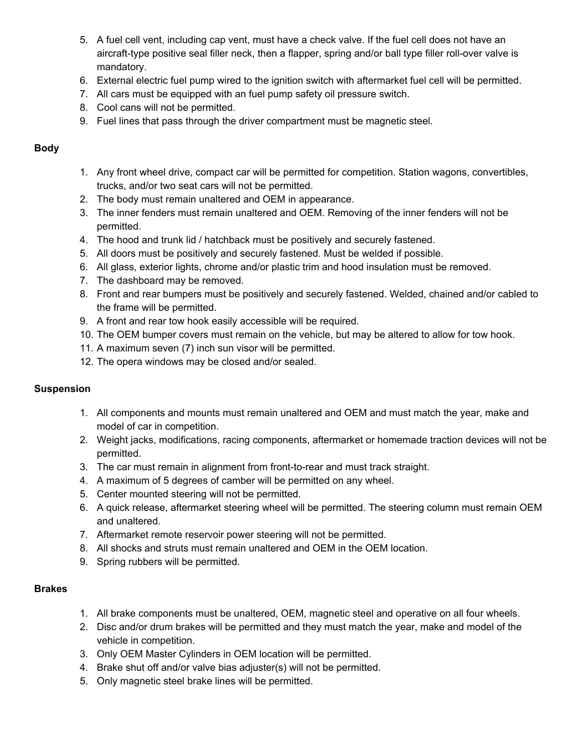- 5. A fuel cell vent, including cap vent, must have a check valve. If the fuel cell does not have an aircraft-type positive seal filler neck, then a flapper, spring and/or ball type filler roll-over valve is mandatory.
- 6. External electric fuel pump wired to the ignition switch with aftermarket fuel cell will be permitted.
- 7. All cars must be equipped with an fuel pump safety oil pressure switch.
- 8. Cool cans will not be permitted.
- 9. Fuel lines that pass through the driver compartment must be magnetic steel.

#### **Body**

- 1. Any front wheel drive, compact car will be permitted for competition. Station wagons, convertibles, trucks, and/or two seat cars will not be permitted.
- 2. The body must remain unaltered and OEM in appearance.
- 3. The inner fenders must remain unaltered and OEM. Removing of the inner fenders will not be permitted.
- 4. The hood and trunk lid / hatchback must be positively and securely fastened.
- 5. All doors must be positively and securely fastened. Must be welded if possible.
- 6. All glass, exterior lights, chrome and/or plastic trim and hood insulation must be removed.
- 7. The dashboard may be removed.
- 8. Front and rear bumpers must be positively and securely fastened. Welded, chained and/or cabled to the frame will be permitted.
- 9. A front and rear tow hook easily accessible will be required.
- 10. The OEM bumper covers must remain on the vehicle, but may be altered to allow for tow hook.
- 11. A maximum seven (7) inch sun visor will be permitted.
- 12. The opera windows may be closed and/or sealed.

### **Suspension**

- 1. All components and mounts must remain unaltered and OEM and must match the year, make and model of car in competition.
- 2. Weight jacks, modifications, racing components, aftermarket or homemade traction devices will not be permitted.
- 3. The car must remain in alignment from front-to-rear and must track straight.
- 4. A maximum of 5 degrees of camber will be permitted on any wheel.
- 5. Center mounted steering will not be permitted.
- 6. A quick release, aftermarket steering wheel will be permitted. The steering column must remain OEM and unaltered.
- 7. Aftermarket remote reservoir power steering will not be permitted.
- 8. All shocks and struts must remain unaltered and OEM in the OEM location.
- 9. Spring rubbers will be permitted.

### **Brakes**

- 1. All brake components must be unaltered, OEM, magnetic steel and operative on all four wheels.
- 2. Disc and/or drum brakes will be permitted and they must match the year, make and model of the vehicle in competition.
- 3. Only OEM Master Cylinders in OEM location will be permitted.
- 4. Brake shut off and/or valve bias adjuster(s) will not be permitted.
- 5. Only magnetic steel brake lines will be permitted.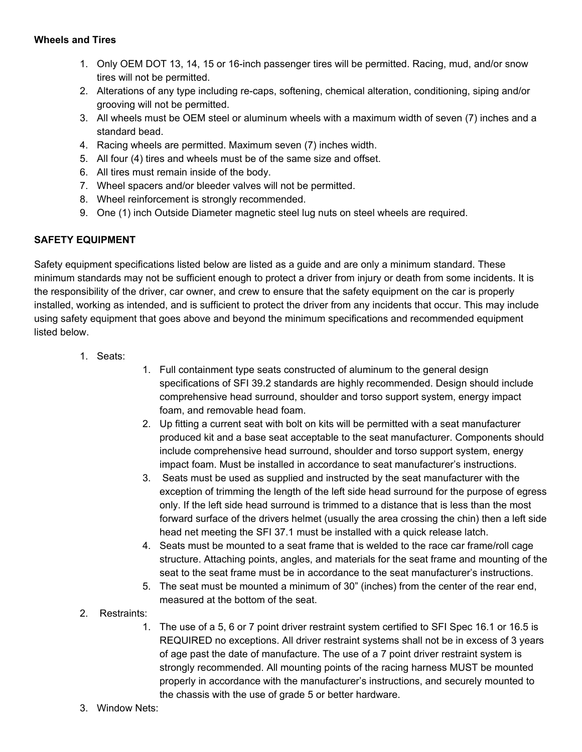- 1. Only OEM DOT 13, 14, 15 or 16-inch passenger tires will be permitted. Racing, mud, and/or snow tires will not be permitted.
- 2. Alterations of any type including re-caps, softening, chemical alteration, conditioning, siping and/or grooving will not be permitted.
- 3. All wheels must be OEM steel or aluminum wheels with a maximum width of seven (7) inches and a standard bead.
- 4. Racing wheels are permitted. Maximum seven (7) inches width.
- 5. All four (4) tires and wheels must be of the same size and offset.
- 6. All tires must remain inside of the body.
- 7. Wheel spacers and/or bleeder valves will not be permitted.
- 8. Wheel reinforcement is strongly recommended.
- 9. One (1) inch Outside Diameter magnetic steel lug nuts on steel wheels are required.

### **SAFETY EQUIPMENT**

Safety equipment specifications listed below are listed as a guide and are only a minimum standard. These minimum standards may not be sufficient enough to protect a driver from injury or death from some incidents. It is the responsibility of the driver, car owner, and crew to ensure that the safety equipment on the car is properly installed, working as intended, and is sufficient to protect the driver from any incidents that occur. This may include using safety equipment that goes above and beyond the minimum specifications and recommended equipment listed below.

- 1. Seats:
- 1. Full containment type seats constructed of aluminum to the general design specifications of SFI 39.2 standards are highly recommended. Design should include comprehensive head surround, shoulder and torso support system, energy impact foam, and removable head foam.
- 2. Up fitting a current seat with bolt on kits will be permitted with a seat manufacturer produced kit and a base seat acceptable to the seat manufacturer. Components should include comprehensive head surround, shoulder and torso support system, energy impact foam. Must be installed in accordance to seat manufacturer's instructions.
- 3. Seats must be used as supplied and instructed by the seat manufacturer with the exception of trimming the length of the left side head surround for the purpose of egress only. If the left side head surround is trimmed to a distance that is less than the most forward surface of the drivers helmet (usually the area crossing the chin) then a left side head net meeting the SFI 37.1 must be installed with a quick release latch.
- 4. Seats must be mounted to a seat frame that is welded to the race car frame/roll cage structure. Attaching points, angles, and materials for the seat frame and mounting of the seat to the seat frame must be in accordance to the seat manufacturer's instructions.
- 5. The seat must be mounted a minimum of 30" (inches) from the center of the rear end, measured at the bottom of the seat.
- 2. Restraints:
	- 1. The use of a 5, 6 or 7 point driver restraint system certified to SFI Spec 16.1 or 16.5 is REQUIRED no exceptions. All driver restraint systems shall not be in excess of 3 years of age past the date of manufacture. The use of a 7 point driver restraint system is strongly recommended. All mounting points of the racing harness MUST be mounted properly in accordance with the manufacturer's instructions, and securely mounted to the chassis with the use of grade 5 or better hardware.
- 3. Window Nets: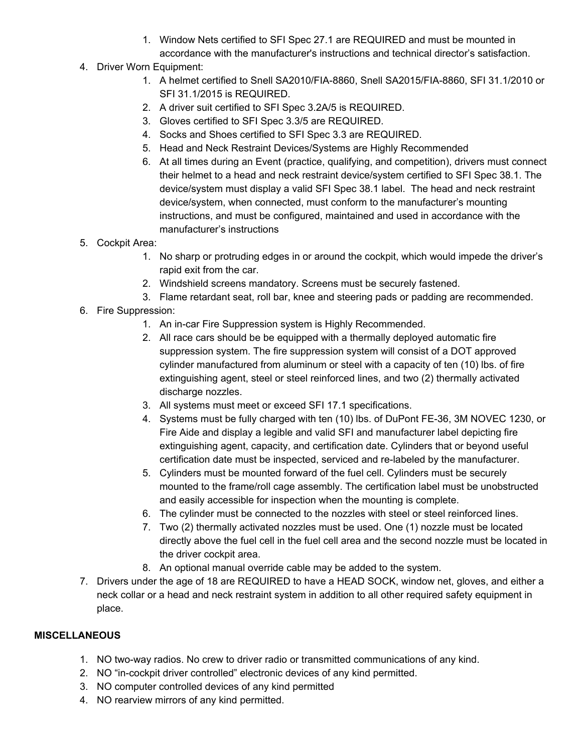- 1. Window Nets certified to SFI Spec 27.1 are REQUIRED and must be mounted in accordance with the manufacturer's instructions and technical director's satisfaction.
- 4. Driver Worn Equipment:
	- 1. A helmet certified to Snell SA2010/FIA-8860, Snell SA2015/FIA-8860, SFI 31.1/2010 or SFI 31.1/2015 is REQUIRED.
	- 2. A driver suit certified to SFI Spec 3.2A/5 is REQUIRED.
	- 3. Gloves certified to SFI Spec 3.3/5 are REQUIRED.
	- 4. Socks and Shoes certified to SFI Spec 3.3 are REQUIRED.
	- 5. Head and Neck Restraint Devices/Systems are Highly Recommended
	- 6. At all times during an Event (practice, qualifying, and competition), drivers must connect their helmet to a head and neck restraint device/system certified to SFI Spec 38.1. The device/system must display a valid SFI Spec 38.1 label. The head and neck restraint device/system, when connected, must conform to the manufacturer's mounting instructions, and must be configured, maintained and used in accordance with the manufacturer's instructions
- 5. Cockpit Area:
	- 1. No sharp or protruding edges in or around the cockpit, which would impede the driver's rapid exit from the car.
	- 2. Windshield screens mandatory. Screens must be securely fastened.
	- 3. Flame retardant seat, roll bar, knee and steering pads or padding are recommended.
- 6. Fire Suppression:
	- 1. An in-car Fire Suppression system is Highly Recommended.
	- 2. All race cars should be be equipped with a thermally deployed automatic fire suppression system. The fire suppression system will consist of a DOT approved cylinder manufactured from aluminum or steel with a capacity of ten (10) lbs. of fire extinguishing agent, steel or steel reinforced lines, and two (2) thermally activated discharge nozzles.
	- 3. All systems must meet or exceed SFI 17.1 specifications.
	- 4. Systems must be fully charged with ten (10) lbs. of DuPont FE-36, 3M NOVEC 1230, or Fire Aide and display a legible and valid SFI and manufacturer label depicting fire extinguishing agent, capacity, and certification date. Cylinders that or beyond useful certification date must be inspected, serviced and re-labeled by the manufacturer.
	- 5. Cylinders must be mounted forward of the fuel cell. Cylinders must be securely mounted to the frame/roll cage assembly. The certification label must be unobstructed and easily accessible for inspection when the mounting is complete.
	- 6. The cylinder must be connected to the nozzles with steel or steel reinforced lines.
	- 7. Two (2) thermally activated nozzles must be used. One (1) nozzle must be located directly above the fuel cell in the fuel cell area and the second nozzle must be located in the driver cockpit area.
	- 8. An optional manual override cable may be added to the system.
- 7. Drivers under the age of 18 are REQUIRED to have a HEAD SOCK, window net, gloves, and either a neck collar or a head and neck restraint system in addition to all other required safety equipment in place.

### **MISCELLANEOUS**

- 1. NO two-way radios. No crew to driver radio or transmitted communications of any kind.
- 2. NO "in-cockpit driver controlled" electronic devices of any kind permitted.
- 3. NO computer controlled devices of any kind permitted
- 4. NO rearview mirrors of any kind permitted.